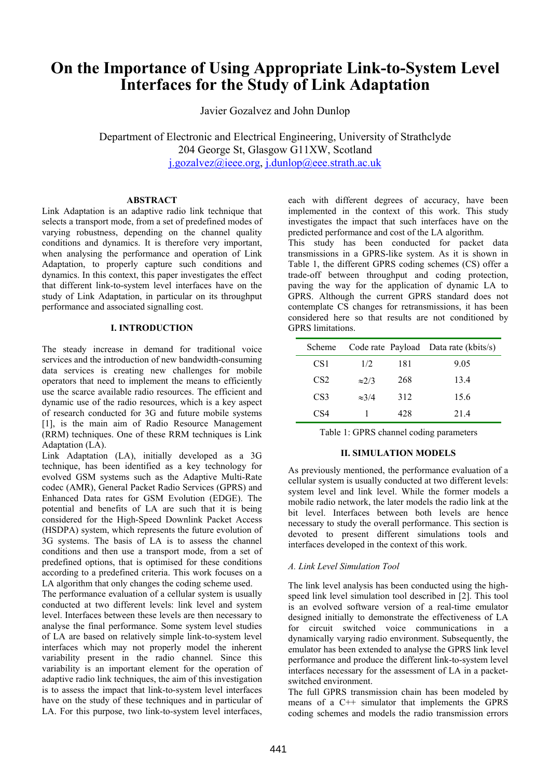# **On the Importance of Using Appropriate Link-to-System Level Interfaces for the Study of Link Adaptation**

Javier Gozalvez and John Dunlop

Department of Electronic and Electrical Engineering, University of Strathclyde 204 George St, Glasgow G11XW, Scotland j.gozalvez@ieee.org, j.dunlop@eee.strath.ac.uk

#### **ABSTRACT**

Link Adaptation is an adaptive radio link technique that selects a transport mode, from a set of predefined modes of varying robustness, depending on the channel quality conditions and dynamics. It is therefore very important, when analysing the performance and operation of Link Adaptation, to properly capture such conditions and dynamics. In this context, this paper investigates the effect that different link-to-system level interfaces have on the study of Link Adaptation, in particular on its throughput performance and associated signalling cost.

#### **I. INTRODUCTION**

The steady increase in demand for traditional voice services and the introduction of new bandwidth-consuming data services is creating new challenges for mobile operators that need to implement the means to efficiently use the scarce available radio resources. The efficient and dynamic use of the radio resources, which is a key aspect of research conducted for 3G and future mobile systems [1], is the main aim of Radio Resource Management (RRM) techniques. One of these RRM techniques is Link Adaptation (LA).

Link Adaptation (LA), initially developed as a 3G technique, has been identified as a key technology for evolved GSM systems such as the Adaptive Multi-Rate codec (AMR), General Packet Radio Services (GPRS) and Enhanced Data rates for GSM Evolution (EDGE). The potential and benefits of LA are such that it is being considered for the High-Speed Downlink Packet Access (HSDPA) system, which represents the future evolution of 3G systems. The basis of LA is to assess the channel conditions and then use a transport mode, from a set of predefined options, that is optimised for these conditions according to a predefined criteria. This work focuses on a LA algorithm that only changes the coding scheme used.

The performance evaluation of a cellular system is usually conducted at two different levels: link level and system level. Interfaces between these levels are then necessary to analyse the final performance. Some system level studies of LA are based on relatively simple link-to-system level interfaces which may not properly model the inherent variability present in the radio channel. Since this variability is an important element for the operation of adaptive radio link techniques, the aim of this investigation is to assess the impact that link-to-system level interfaces have on the study of these techniques and in particular of LA. For this purpose, two link-to-system level interfaces, each with different degrees of accuracy, have been implemented in the context of this work. This study investigates the impact that such interfaces have on the predicted performance and cost of the LA algorithm.

This study has been conducted for packet data transmissions in a GPRS-like system. As it is shown in Table 1, the different GPRS coding schemes (CS) offer a trade-off between throughput and coding protection, paving the way for the application of dynamic LA to GPRS. Although the current GPRS standard does not contemplate CS changes for retransmissions, it has been considered here so that results are not conditioned by GPRS limitations.

| Scheme          |               |     | Code rate Payload Data rate (kbits/s) |
|-----------------|---------------|-----|---------------------------------------|
| CS <sub>1</sub> | 1/2           | 181 | 9.05                                  |
| CS <sub>2</sub> | $\approx$ 2/3 | 268 | 13.4                                  |
| CS <sub>3</sub> | $\approx 3/4$ | 312 | 15.6                                  |
| CS4             |               | 428 | 214                                   |

Table 1: GPRS channel coding parameters

# **II. SIMULATION MODELS**

As previously mentioned, the performance evaluation of a cellular system is usually conducted at two different levels: system level and link level. While the former models a mobile radio network, the later models the radio link at the bit level. Interfaces between both levels are hence necessary to study the overall performance. This section is devoted to present different simulations tools and interfaces developed in the context of this work.

#### *A. Link Level Simulation Tool*

The link level analysis has been conducted using the highspeed link level simulation tool described in [2]. This tool is an evolved software version of a real-time emulator designed initially to demonstrate the effectiveness of LA for circuit switched voice communications in a dynamically varying radio environment. Subsequently, the emulator has been extended to analyse the GPRS link level performance and produce the different link-to-system level interfaces necessary for the assessment of LA in a packetswitched environment.

The full GPRS transmission chain has been modeled by means of a C++ simulator that implements the GPRS coding schemes and models the radio transmission errors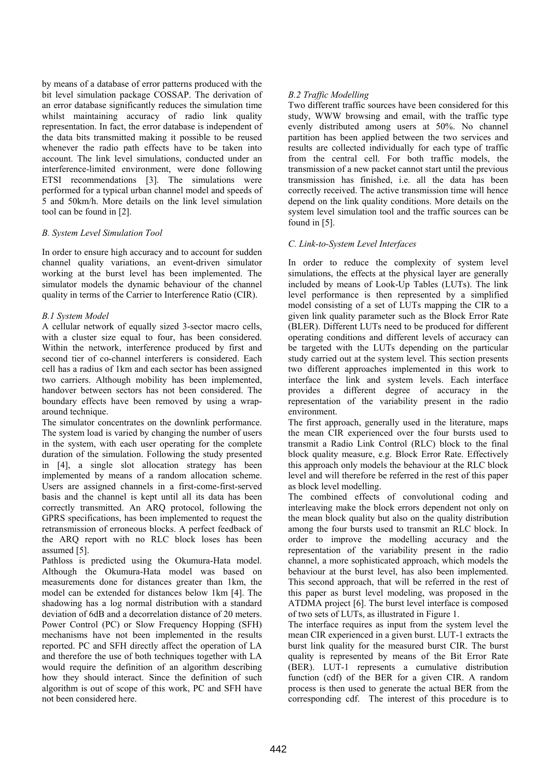by means of a database of error patterns produced with the bit level simulation package COSSAP. The derivation of an error database significantly reduces the simulation time whilst maintaining accuracy of radio link quality representation. In fact, the error database is independent of the data bits transmitted making it possible to be reused whenever the radio path effects have to be taken into account. The link level simulations, conducted under an interference-limited environment, were done following ETSI recommendations [3]. The simulations were performed for a typical urban channel model and speeds of 5 and 50km/h. More details on the link level simulation tool can be found in [2].

#### *B. System Level Simulation Tool*

In order to ensure high accuracy and to account for sudden channel quality variations, an event-driven simulator working at the burst level has been implemented. The simulator models the dynamic behaviour of the channel quality in terms of the Carrier to Interference Ratio (CIR).

#### *B.1 System Model*

A cellular network of equally sized 3-sector macro cells, with a cluster size equal to four, has been considered. Within the network, interference produced by first and second tier of co-channel interferers is considered. Each cell has a radius of 1km and each sector has been assigned two carriers. Although mobility has been implemented, handover between sectors has not been considered. The boundary effects have been removed by using a wraparound technique.

The simulator concentrates on the downlink performance. The system load is varied by changing the number of users in the system, with each user operating for the complete duration of the simulation. Following the study presented in [4], a single slot allocation strategy has been implemented by means of a random allocation scheme. Users are assigned channels in a first-come-first-served basis and the channel is kept until all its data has been correctly transmitted. An ARQ protocol, following the GPRS specifications, has been implemented to request the retransmission of erroneous blocks. A perfect feedback of the ARQ report with no RLC block loses has been assumed [5].

Pathloss is predicted using the Okumura-Hata model. Although the Okumura-Hata model was based on measurements done for distances greater than 1km, the model can be extended for distances below 1km [4]. The shadowing has a log normal distribution with a standard deviation of 6dB and a decorrelation distance of 20 meters. Power Control (PC) or Slow Frequency Hopping (SFH) mechanisms have not been implemented in the results reported. PC and SFH directly affect the operation of LA and therefore the use of both techniques together with LA would require the definition of an algorithm describing how they should interact. Since the definition of such algorithm is out of scope of this work, PC and SFH have not been considered here.

# *B.2 Traffic Modelling*

Two different traffic sources have been considered for this study, WWW browsing and email, with the traffic type evenly distributed among users at 50%. No channel partition has been applied between the two services and results are collected individually for each type of traffic from the central cell. For both traffic models, the transmission of a new packet cannot start until the previous transmission has finished, i.e. all the data has been correctly received. The active transmission time will hence depend on the link quality conditions. More details on the system level simulation tool and the traffic sources can be found in [5].

# *C. Link-to-System Level Interfaces*

In order to reduce the complexity of system level simulations, the effects at the physical layer are generally included by means of Look-Up Tables (LUTs). The link level performance is then represented by a simplified model consisting of a set of LUTs mapping the CIR to a given link quality parameter such as the Block Error Rate (BLER). Different LUTs need to be produced for different operating conditions and different levels of accuracy can be targeted with the LUTs depending on the particular study carried out at the system level. This section presents two different approaches implemented in this work to interface the link and system levels. Each interface provides a different degree of accuracy in the representation of the variability present in the radio environment.

The first approach, generally used in the literature, maps the mean CIR experienced over the four bursts used to transmit a Radio Link Control (RLC) block to the final block quality measure, e.g. Block Error Rate. Effectively this approach only models the behaviour at the RLC block level and will therefore be referred in the rest of this paper as block level modelling.

The combined effects of convolutional coding and interleaving make the block errors dependent not only on the mean block quality but also on the quality distribution among the four bursts used to transmit an RLC block. In order to improve the modelling accuracy and the representation of the variability present in the radio channel, a more sophisticated approach, which models the behaviour at the burst level, has also been implemented. This second approach, that will be referred in the rest of this paper as burst level modeling, was proposed in the ATDMA project [6]. The burst level interface is composed of two sets of LUTs, as illustrated in Figure 1.

The interface requires as input from the system level the mean CIR experienced in a given burst. LUT-1 extracts the burst link quality for the measured burst CIR. The burst quality is represented by means of the Bit Error Rate (BER). LUT-1 represents a cumulative distribution function (cdf) of the BER for a given CIR. A random process is then used to generate the actual BER from the corresponding cdf. The interest of this procedure is to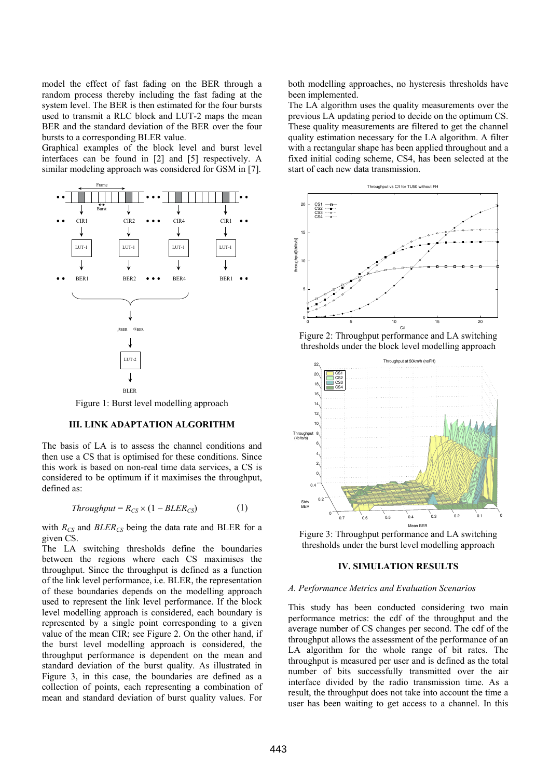model the effect of fast fading on the BER through a random process thereby including the fast fading at the system level. The BER is then estimated for the four bursts used to transmit a RLC block and LUT-2 maps the mean BER and the standard deviation of the BER over the four bursts to a corresponding BLER value.

Graphical examples of the block level and burst level interfaces can be found in [2] and [5] respectively. A similar modeling approach was considered for GSM in [7].



Figure 1: Burst level modelling approach

### **III. LINK ADAPTATION ALGORITHM**

The basis of LA is to assess the channel conditions and then use a CS that is optimised for these conditions. Since this work is based on non-real time data services, a CS is considered to be optimum if it maximises the throughput, defined as:

$$
Throughout = R_{CS} \times (1 - BLER_{CS}) \tag{1}
$$

with  $R_{CS}$  and  $BLER_{CS}$  being the data rate and BLER for a given CS.

The LA switching thresholds define the boundaries between the regions where each CS maximises the throughput. Since the throughput is defined as a function of the link level performance, i.e. BLER, the representation of these boundaries depends on the modelling approach used to represent the link level performance. If the block level modelling approach is considered, each boundary is represented by a single point corresponding to a given value of the mean CIR; see Figure 2. On the other hand, if the burst level modelling approach is considered, the throughput performance is dependent on the mean and standard deviation of the burst quality. As illustrated in Figure 3, in this case, the boundaries are defined as a collection of points, each representing a combination of mean and standard deviation of burst quality values. For

both modelling approaches, no hysteresis thresholds have been implemented.

The LA algorithm uses the quality measurements over the previous LA updating period to decide on the optimum CS. These quality measurements are filtered to get the channel quality estimation necessary for the LA algorithm. A filter with a rectangular shape has been applied throughout and a fixed initial coding scheme, CS4, has been selected at the start of each new data transmission.



Figure 2: Throughput performance and LA switching thresholds under the block level modelling approach



Figure 3: Throughput performance and LA switching thresholds under the burst level modelling approach

### **IV. SIMULATION RESULTS**

#### *A. Performance Metrics and Evaluation Scenarios*

This study has been conducted considering two main performance metrics: the cdf of the throughput and the average number of CS changes per second. The cdf of the throughput allows the assessment of the performance of an LA algorithm for the whole range of bit rates. The throughput is measured per user and is defined as the total number of bits successfully transmitted over the air interface divided by the radio transmission time. As a result, the throughput does not take into account the time a user has been waiting to get access to a channel. In this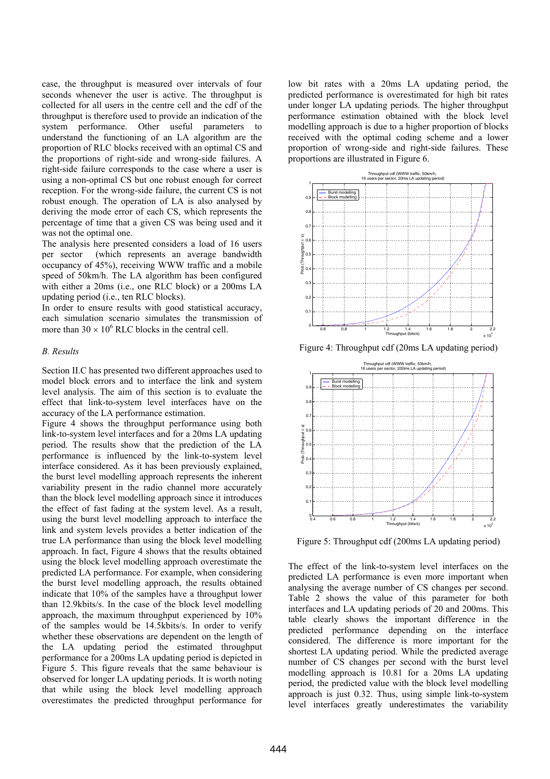case, the throughput is measured over intervals of four seconds whenever the user is active. The throughput is collected for all users in the centre cell and the cdf of the throughput is therefore used to provide an indication of the system performance. Other useful parameters to understand the functioning of an LA algorithm are the proportion of RLC blocks received with an optimal CS and the proportions of right-side and wrong-side failures. A right-side failure corresponds to the case where a user is using a non-optimal CS but one robust enough for correct reception. For the wrong-side failure, the current CS is not robust enough. The operation of LA is also analysed by deriving the mode error of each CS, which represents the percentage of time that a given CS was being used and it was not the optimal one.

The analysis here presented considers a load of 16 users per sector (which represents an average bandwidth occupancy of 45%), receiving WWW traffic and a mobile speed of 50km/h. The LA algorithm has been configured with either a 20ms (i.e., one RLC block) or a 200ms LA updating period (i.e., ten RLC blocks).

In order to ensure results with good statistical accuracy, each simulation scenario simulates the transmission of more than  $30 \times 10^6$  RLC blocks in the central cell.

# *B. Results*

Section II.C has presented two different approaches used to model block errors and to interface the link and system level analysis. The aim of this section is to evaluate the effect that link-to-system level interfaces have on the accuracy of the LA performance estimation.

Figure 4 shows the throughput performance using both link-to-system level interfaces and for a 20ms LA updating period. The results show that the prediction of the LA performance is influenced by the link-to-system level interface considered. As it has been previously explained, the burst level modelling approach represents the inherent variability present in the radio channel more accurately than the block level modelling approach since it introduces the effect of fast fading at the system level. As a result, using the burst level modelling approach to interface the link and system levels provides a better indication of the true LA performance than using the block level modelling approach. In fact, Figure 4 shows that the results obtained using the block level modelling approach overestimate the predicted LA performance. For example, when considering the burst level modelling approach, the results obtained indicate that 10% of the samples have a throughput lower than 12.9kbits/s. In the case of the block level modelling approach, the maximum throughput experienced by 10% of the samples would be 14.5kbits/s. In order to verify whether these observations are dependent on the length of the LA updating period the estimated throughput performance for a 200ms LA updating period is depicted in Figure 5. This figure reveals that the same behaviour is observed for longer LA updating periods. It is worth noting that while using the block level modelling approach overestimates the predicted throughput performance for low bit rates with a 20ms LA updating period, the predicted performance is overestimated for high bit rates under longer LA updating periods. The higher throughput performance estimation obtained with the block level modelling approach is due to a higher proportion of blocks received with the optimal coding scheme and a lower proportion of wrong-side and right-side failures. These proportions are illustrated in Figure 6.



Figure 4: Throughput cdf (20ms LA updating period)



Figure 5: Throughput cdf (200ms LA updating period)

The effect of the link-to-system level interfaces on the predicted LA performance is even more important when analysing the average number of CS changes per second. Table 2 shows the value of this parameter for both interfaces and LA updating periods of 20 and 200ms. This table clearly shows the important difference in the predicted performance depending on the interface considered. The difference is more important for the shortest LA updating period. While the predicted average number of CS changes per second with the burst level modelling approach is 10.81 for a 20ms LA updating period, the predicted value with the block level modelling approach is just 0.32. Thus, using simple link-to-system level interfaces greatly underestimates the variability